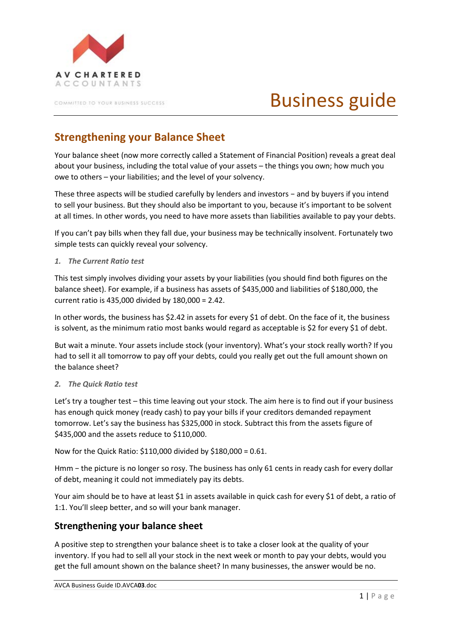

COMMITTED TO YOUR BUSINESS SUCCESS.

# Business guide

# **Strengthening your Balance Sheet**

Your balance sheet (now more correctly called a Statement of Financial Position) reveals a great deal about your business, including the total value of your assets – the things you own; how much you owe to others – your liabilities; and the level of your solvency.

These three aspects will be studied carefully by lenders and investors − and by buyers if you intend to sell your business. But they should also be important to you, because it's important to be solvent at all times. In other words, you need to have more assets than liabilities available to pay your debts.

If you can't pay bills when they fall due, your business may be technically insolvent. Fortunately two simple tests can quickly reveal your solvency.

#### *1. The Current Ratio test*

This test simply involves dividing your assets by your liabilities (you should find both figures on the balance sheet). For example, if a business has assets of \$435,000 and liabilities of \$180,000, the current ratio is 435,000 divided by 180,000 = 2.42.

In other words, the business has \$2.42 in assets for every \$1 of debt. On the face of it, the business is solvent, as the minimum ratio most banks would regard as acceptable is \$2 for every \$1 of debt.

But wait a minute. Your assets include stock (your inventory). What's your stock really worth? If you had to sell it all tomorrow to pay off your debts, could you really get out the full amount shown on the balance sheet?

#### *2. The Quick Ratio test*

Let's try a tougher test – this time leaving out your stock. The aim here is to find out if your business has enough quick money (ready cash) to pay your bills if your creditors demanded repayment tomorrow. Let's say the business has \$325,000 in stock. Subtract this from the assets figure of \$435,000 and the assets reduce to \$110,000.

Now for the Quick Ratio: \$110,000 divided by \$180,000 = 0.61.

Hmm – the picture is no longer so rosy. The business has only 61 cents in ready cash for every dollar of debt, meaning it could not immediately pay its debts.

Your aim should be to have at least \$1 in assets available in quick cash for every \$1 of debt, a ratio of 1:1. You'll sleep better, and so will your bank manager.

### **Strengthening your balance sheet**

A positive step to strengthen your balance sheet is to take a closer look at the quality of your inventory. If you had to sell all your stock in the next week or month to pay your debts, would you get the full amount shown on the balance sheet? In many businesses, the answer would be no.